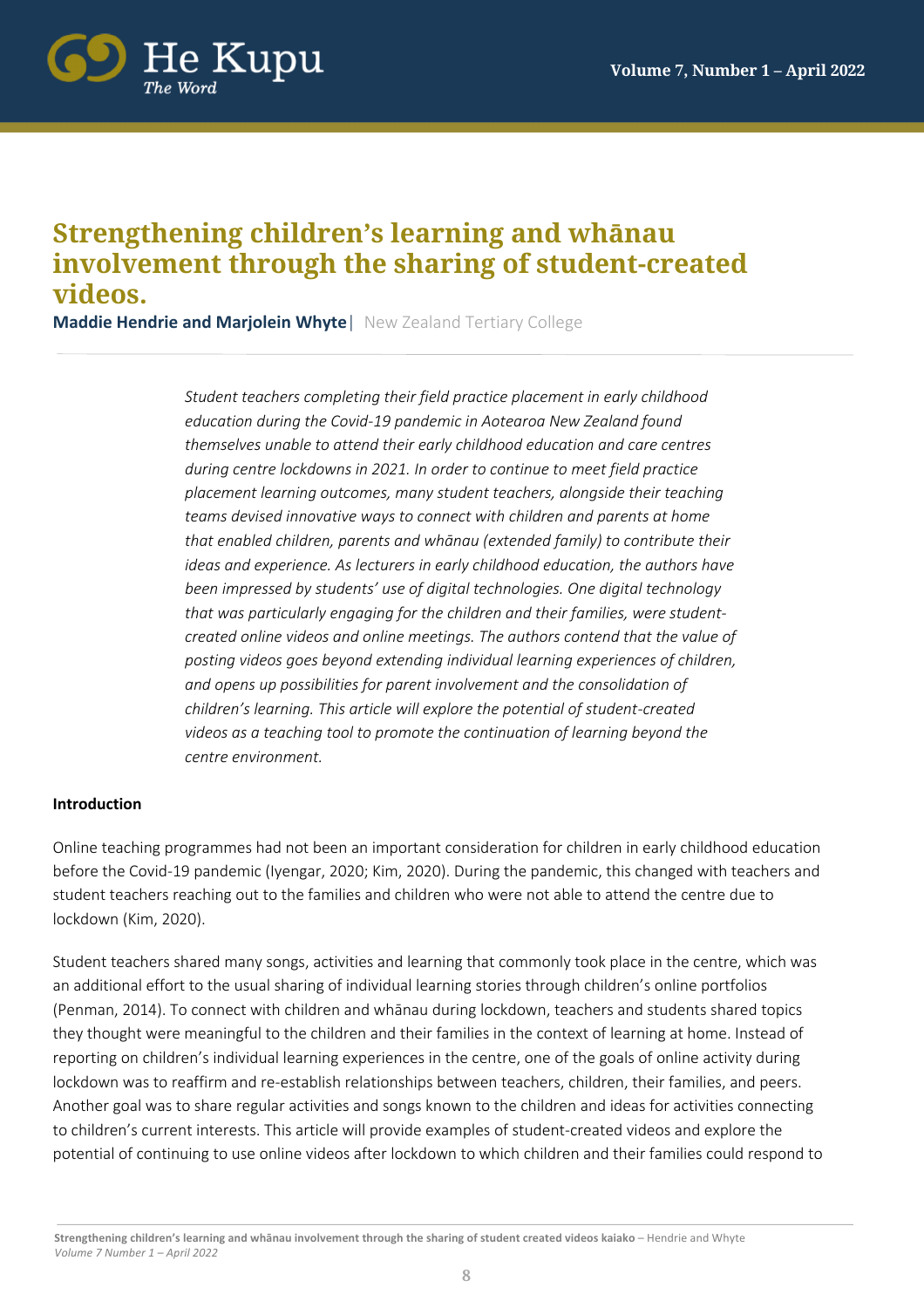

# **Strengthening children's learning and whānau involvement through the sharing of student-created videos.**

**Maddie Hendrie and Marjolein Whyte**| New Zealand Tertiary College

*Student teachers completing their field practice placement in early childhood education during the Covid-19 pandemic in Aotearoa New Zealand found themselves unable to attend their early childhood education and care centres during centre lockdowns in 2021. In order to continue to meet field practice placement learning outcomes, many student teachers, alongside their teaching teams devised innovative ways to connect with children and parents at home that enabled children, parents and whānau (extended family) to contribute their ideas and experience. As lecturers in early childhood education, the authors have been impressed by students' use of digital technologies. One digital technology that was particularly engaging for the children and their families, were studentcreated online videos and online meetings. The authors contend that the value of posting videos goes beyond extending individual learning experiences of children, and opens up possibilities for parent involvement and the consolidation of children's learning. This article will explore the potential of student-created videos as a teaching tool to promote the continuation of learning beyond the centre environment.* 

#### **Introduction**

Online teaching programmes had not been an important consideration for children in early childhood education before the Covid-19 pandemic (Iyengar, 2020; Kim, 2020). During the pandemic, this changed with teachers and student teachers reaching out to the families and children who were not able to attend the centre due to lockdown (Kim, 2020).

Student teachers shared many songs, activities and learning that commonly took place in the centre, which was an additional effort to the usual sharing of individual learning stories through children's online portfolios (Penman, 2014). To connect with children and whānau during lockdown, teachers and students shared topics they thought were meaningful to the children and their families in the context of learning at home. Instead of reporting on children's individual learning experiences in the centre, one of the goals of online activity during lockdown was to reaffirm and re-establish relationships between teachers, children, their families, and peers. Another goal was to share regular activities and songs known to the children and ideas for activities connecting to children's current interests. This article will provide examples of student-created videos and explore the potential of continuing to use online videos after lockdown to which children and their families could respond to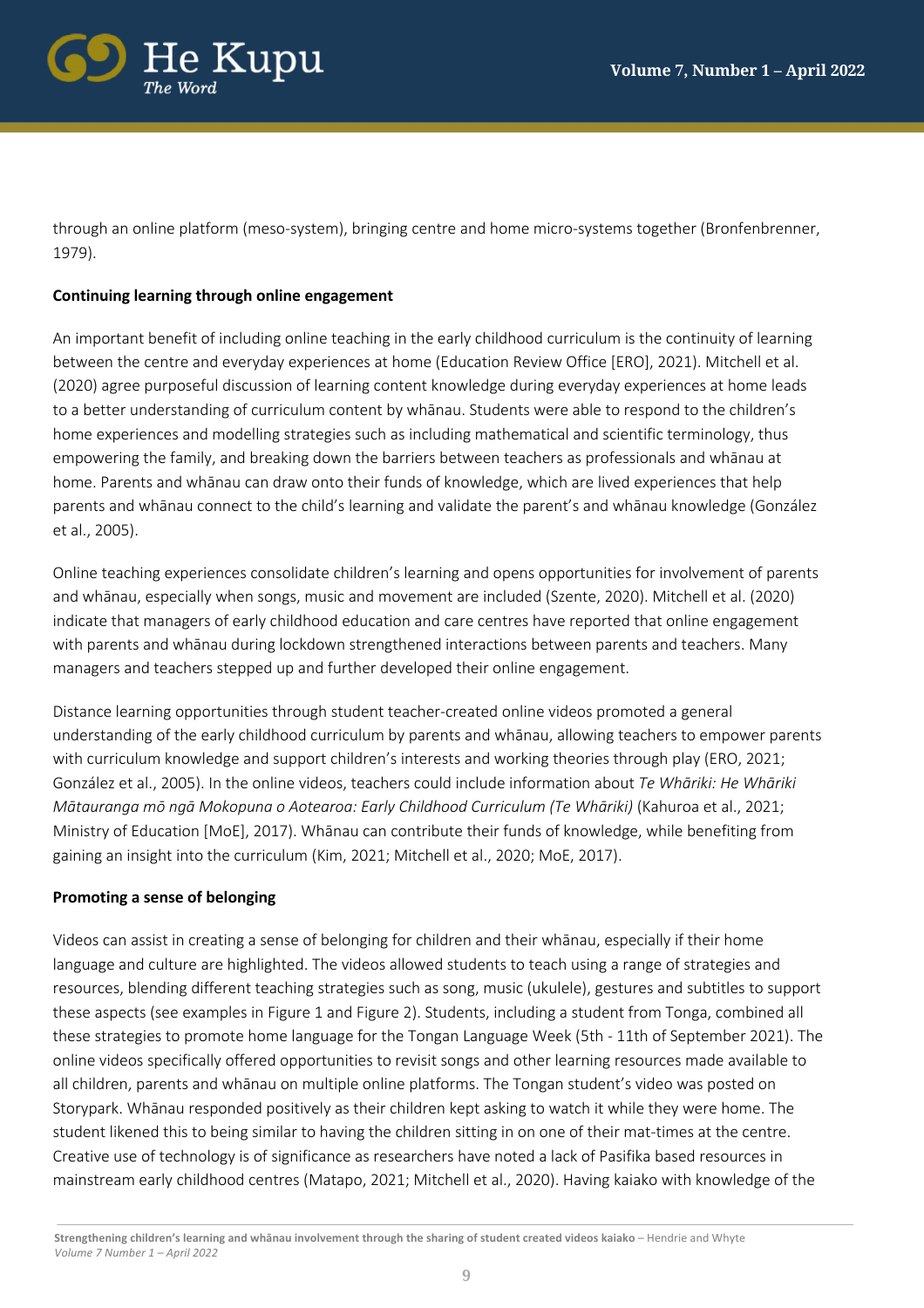

through an online platform (meso-system), bringing centre and home micro-systems together (Bronfenbrenner, 1979).

# **Continuing learning through online engagement**

An important benefit of including online teaching in the early childhood curriculum is the continuity of learning between the centre and everyday experiences at home (Education Review Office [ERO], 2021). Mitchell et al. (2020) agree purposeful discussion of learning content knowledge during everyday experiences at home leads to a better understanding of curriculum content by whānau. Students were able to respond to the children's home experiences and modelling strategies such as including mathematical and scientific terminology, thus empowering the family, and breaking down the barriers between teachers as professionals and whānau at home. Parents and whānau can draw onto their funds of knowledge, which are lived experiences that help parents and whānau connect to the child's learning and validate the parent's and whānau knowledge (González et al., 2005).

Online teaching experiences consolidate children's learning and opens opportunities for involvement of parents and whānau, especially when songs, music and movement are included (Szente, 2020). Mitchell et al. (2020) indicate that managers of early childhood education and care centres have reported that online engagement with parents and whānau during lockdown strengthened interactions between parents and teachers. Many managers and teachers stepped up and further developed their online engagement.

Distance learning opportunities through student teacher-created online videos promoted a general understanding of the early childhood curriculum by parents and whānau, allowing teachers to empower parents with curriculum knowledge and support children's interests and working theories through play (ERO, 2021; González et al., 2005). In the online videos, teachers could include information about *Te Whāriki: He Whāriki Mātauranga mō ngā Mokopuna o Aotearoa: Early Childhood Curriculum (Te Whāriki)* (Kahuroa et al., 2021; Ministry of Education [MoE], 2017). Whānau can contribute their funds of knowledge, while benefiting from gaining an insight into the curriculum (Kim, 2021; Mitchell et al., 2020; MoE, 2017).

## **Promoting a sense of belonging**

Videos can assist in creating a sense of belonging for children and their whānau, especially if their home language and culture are highlighted. The videos allowed students to teach using a range of strategies and resources, blending different teaching strategies such as song, music (ukulele), gestures and subtitles to support these aspects (see examples in Figure 1 and Figure 2). Students, including a student from Tonga, combined all these strategies to promote home language for the Tongan Language Week (5th - 11th of September 2021). The online videos specifically offered opportunities to revisit songs and other learning resources made available to all children, parents and whānau on multiple online platforms. The Tongan student's video was posted on Storypark. Whānau responded positively as their children kept asking to watch it while they were home. The student likened this to being similar to having the children sitting in on one of their mat-times at the centre. Creative use of technology is of significance as researchers have noted a lack of Pasifika based resources in mainstream early childhood centres (Matapo, 2021; Mitchell et al., 2020). Having kaiako with knowledge of the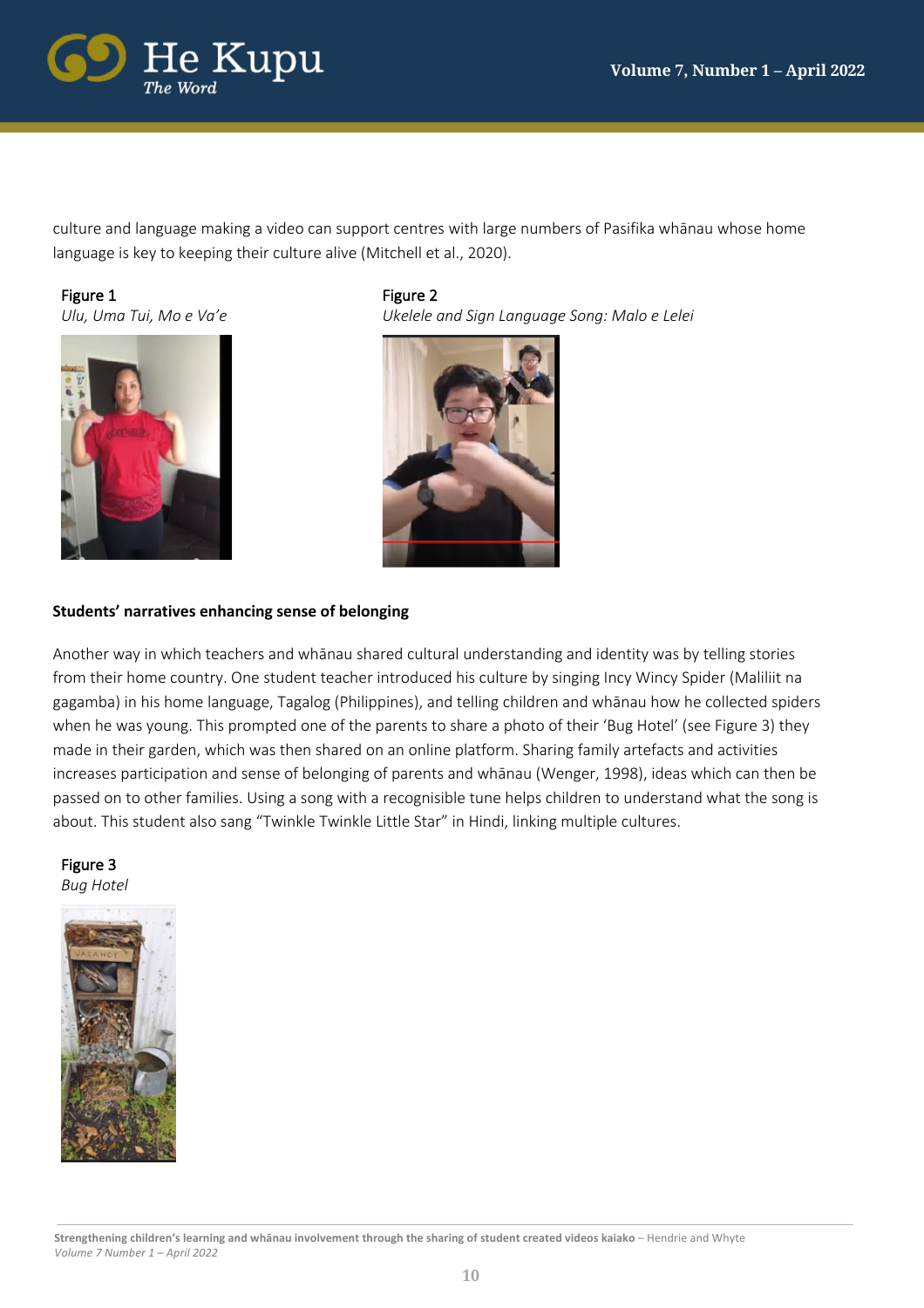

culture and language making a video can support centres with large numbers of Pasifika whānau whose home language is key to keeping their culture alive (Mitchell et al., 2020).

Figure 1

*Ulu, Uma Tui, Mo e Va'e*



Figure 2 *Ukelele and Sign Language Song: Malo e Lelei*



# **Students' narratives enhancing sense of belonging**

Another way in which teachers and whānau shared cultural understanding and identity was by telling stories from their home country. One student teacher introduced his culture by singing Incy Wincy Spider (Maliliit na gagamba) in his home language, Tagalog (Philippines), and telling children and whānau how he collected spiders when he was young. This prompted one of the parents to share a photo of their 'Bug Hotel' (see Figure 3) they made in their garden, which was then shared on an online platform. Sharing family artefacts and activities increases participation and sense of belonging of parents and whānau (Wenger, 1998), ideas which can then be passed on to other families. Using a song with a recognisible tune helps children to understand what the song is about. This student also sang "Twinkle Twinkle Little Star" in Hindi, linking multiple cultures.

#### Figure 3 *Bug Hotel*

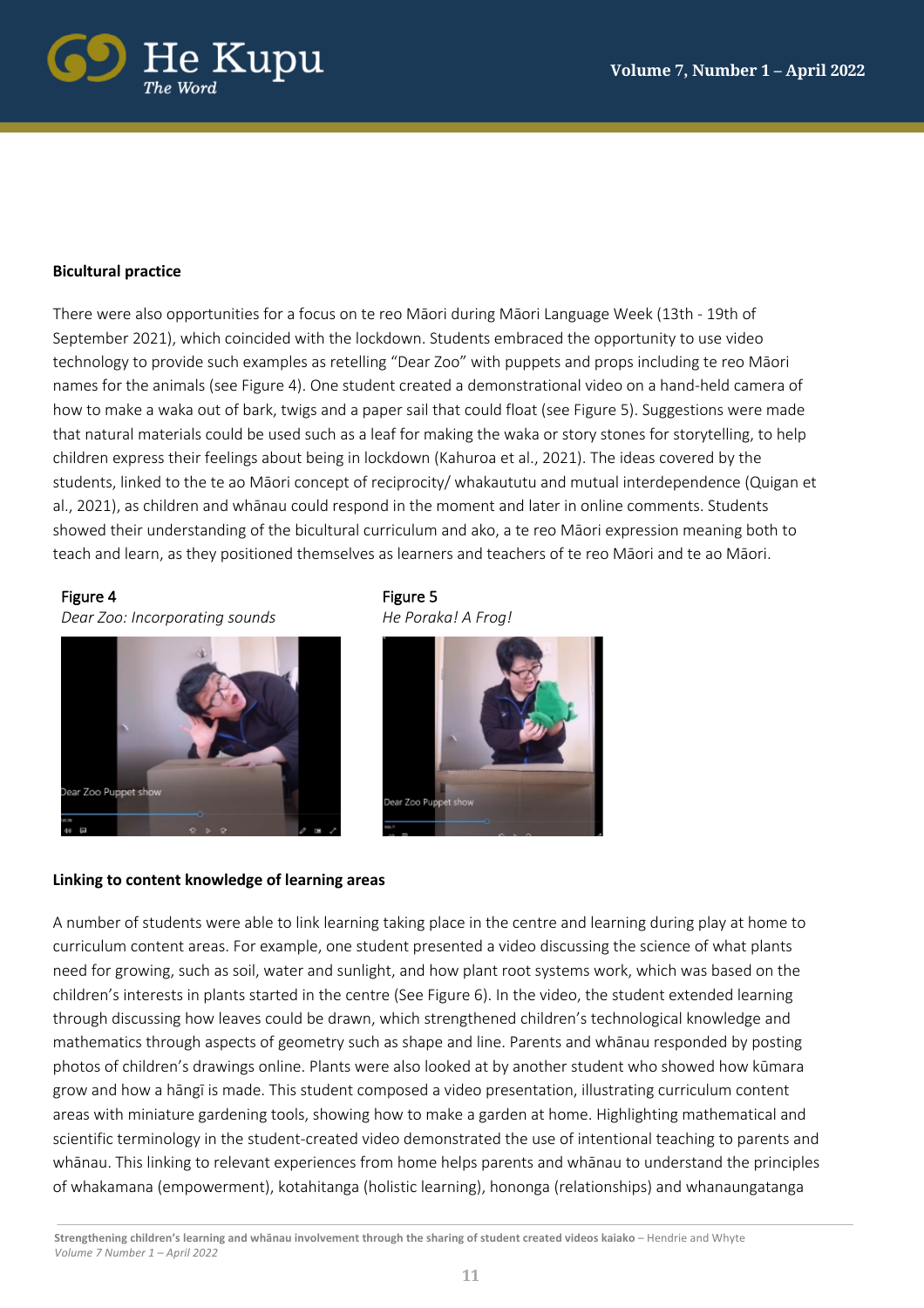

#### **Bicultural practice**

There were also opportunities for a focus on te reo Māori during Māori Language Week (13th - 19th of September 2021), which coincided with the lockdown. Students embraced the opportunity to use video technology to provide such examples as retelling "Dear Zoo" with puppets and props including te reo Māori names for the animals (see Figure 4). One student created a demonstrational video on a hand-held camera of how to make a waka out of bark, twigs and a paper sail that could float (see Figure 5). Suggestions were made that natural materials could be used such as a leaf for making the waka or story stones for storytelling, to help children express their feelings about being in lockdown (Kahuroa et al., 2021). The ideas covered by the students, linked to the te ao Māori concept of reciprocity/ whakaututu and mutual interdependence (Quigan et al., 2021), as children and whānau could respond in the moment and later in online comments. Students showed their understanding of the bicultural curriculum and ako, a te reo Māori expression meaning both to teach and learn, as they positioned themselves as learners and teachers of te reo Māori and te ao Māori.

#### Figure 4

*Dear Zoo: Incorporating sounds*



Figure 5 *He Poraka! A Frog!*



#### **Linking to content knowledge of learning areas**

A number of students were able to link learning taking place in the centre and learning during play at home to curriculum content areas. For example, one student presented a video discussing the science of what plants need for growing, such as soil, water and sunlight, and how plant root systems work, which was based on the children's interests in plants started in the centre (See Figure 6). In the video, the student extended learning through discussing how leaves could be drawn, which strengthened children's technological knowledge and mathematics through aspects of geometry such as shape and line. Parents and whānau responded by posting photos of children's drawings online. Plants were also looked at by another student who showed how kūmara grow and how a hāngī is made. This student composed a video presentation, illustrating curriculum content areas with miniature gardening tools, showing how to make a garden at home. Highlighting mathematical and scientific terminology in the student-created video demonstrated the use of intentional teaching to parents and whānau. This linking to relevant experiences from home helps parents and whānau to understand the principles of whakamana (empowerment), kotahitanga (holistic learning), hononga (relationships) and whanaungatanga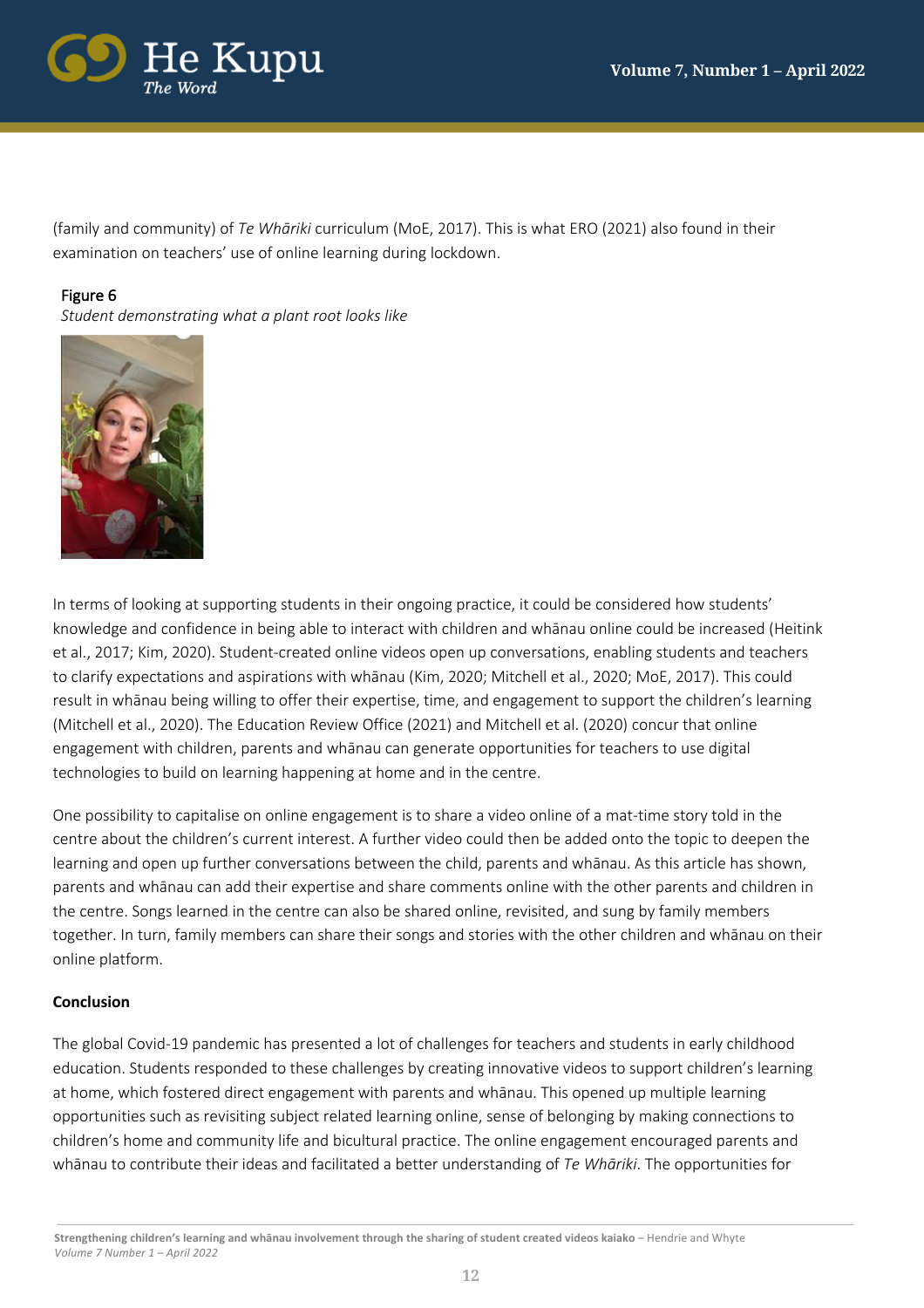

(family and community) of *Te Whāriki* curriculum (MoE, 2017). This is what ERO (2021) also found in their examination on teachers' use of online learning during lockdown.

# Figure 6

*Student demonstrating what a plant root looks like*



In terms of looking at supporting students in their ongoing practice, it could be considered how students' knowledge and confidence in being able to interact with children and whānau online could be increased (Heitink et al., 2017; Kim, 2020). Student-created online videos open up conversations, enabling students and teachers to clarify expectations and aspirations with whānau (Kim, 2020; Mitchell et al., 2020; MoE, 2017). This could result in whānau being willing to offer their expertise, time, and engagement to support the children's learning (Mitchell et al., 2020). The Education Review Office (2021) and Mitchell et al. (2020) concur that online engagement with children, parents and whānau can generate opportunities for teachers to use digital technologies to build on learning happening at home and in the centre.

One possibility to capitalise on online engagement is to share a video online of a mat-time story told in the centre about the children's current interest. A further video could then be added onto the topic to deepen the learning and open up further conversations between the child, parents and whānau. As this article has shown, parents and whānau can add their expertise and share comments online with the other parents and children in the centre. Songs learned in the centre can also be shared online, revisited, and sung by family members together. In turn, family members can share their songs and stories with the other children and whānau on their online platform.

## **Conclusion**

The global Covid-19 pandemic has presented a lot of challenges for teachers and students in early childhood education. Students responded to these challenges by creating innovative videos to support children's learning at home, which fostered direct engagement with parents and whānau. This opened up multiple learning opportunities such as revisiting subject related learning online, sense of belonging by making connections to children's home and community life and bicultural practice. The online engagement encouraged parents and whānau to contribute their ideas and facilitated a better understanding of *Te Whāriki*. The opportunities for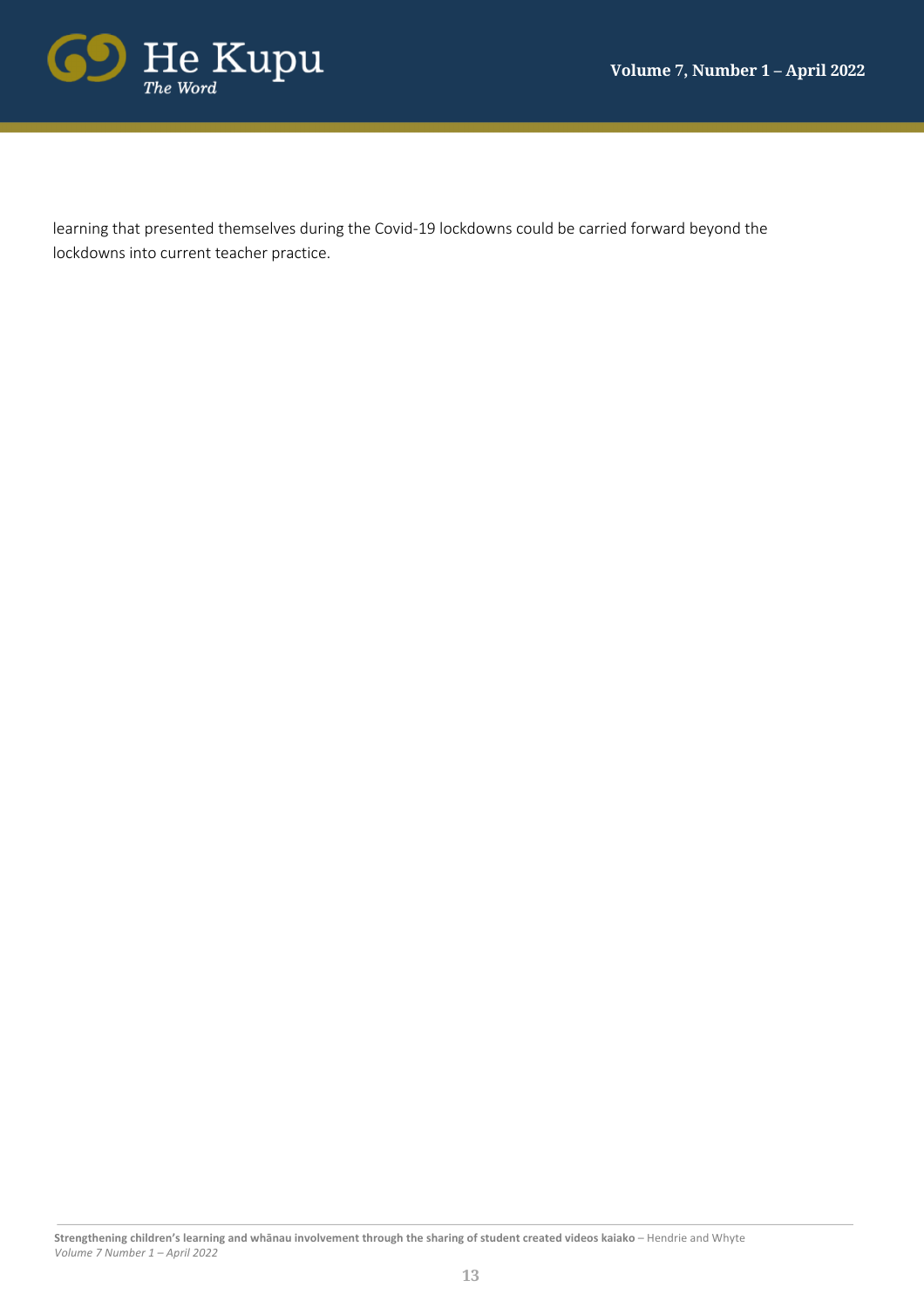

learning that presented themselves during the Covid-19 lockdowns could be carried forward beyond the lockdowns into current teacher practice.